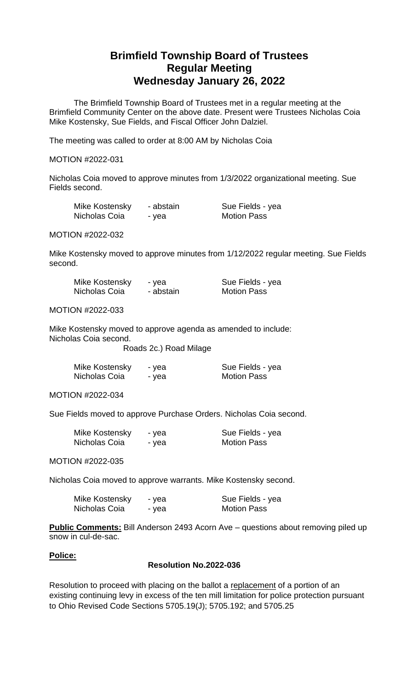# **Brimfield Township Board of Trustees Regular Meeting Wednesday January 26, 2022**

The Brimfield Township Board of Trustees met in a regular meeting at the Brimfield Community Center on the above date. Present were Trustees Nicholas Coia Mike Kostensky, Sue Fields, and Fiscal Officer John Dalziel.

The meeting was called to order at 8:00 AM by Nicholas Coia

# MOTION #2022-031

Nicholas Coia moved to approve minutes from 1/3/2022 organizational meeting. Sue Fields second.

| Mike Kostensky | - abstain | Sue Fields - yea   |
|----------------|-----------|--------------------|
| Nicholas Coia  | - yea     | <b>Motion Pass</b> |

MOTION #2022-032

Mike Kostensky moved to approve minutes from 1/12/2022 regular meeting. Sue Fields second.

| Mike Kostensky | - yea     | Sue Fields - yea   |
|----------------|-----------|--------------------|
| Nicholas Coia  | - abstain | <b>Motion Pass</b> |

# MOTION #2022-033

Mike Kostensky moved to approve agenda as amended to include: Nicholas Coia second.

Roads 2c.) Road Milage

| Mike Kostensky | - yea | Sue Fields - yea   |
|----------------|-------|--------------------|
| Nicholas Coia  | - yea | <b>Motion Pass</b> |

MOTION #2022-034

Sue Fields moved to approve Purchase Orders. Nicholas Coia second.

| Mike Kostensky | - yea | Sue Fields - yea   |
|----------------|-------|--------------------|
| Nicholas Coia  | - yea | <b>Motion Pass</b> |

MOTION #2022-035

Nicholas Coia moved to approve warrants. Mike Kostensky second.

| Mike Kostensky | - yea | Sue Fields - yea   |
|----------------|-------|--------------------|
| Nicholas Coia  | - yea | <b>Motion Pass</b> |

**Public Comments:** Bill Anderson 2493 Acorn Ave – questions about removing piled up snow in cul-de-sac.

# **Police:**

# **Resolution No.2022-036**

Resolution to proceed with placing on the ballot a replacement of a portion of an existing continuing levy in excess of the ten mill limitation for police protection pursuant to Ohio Revised Code Sections 5705.19(J); 5705.192; and 5705.25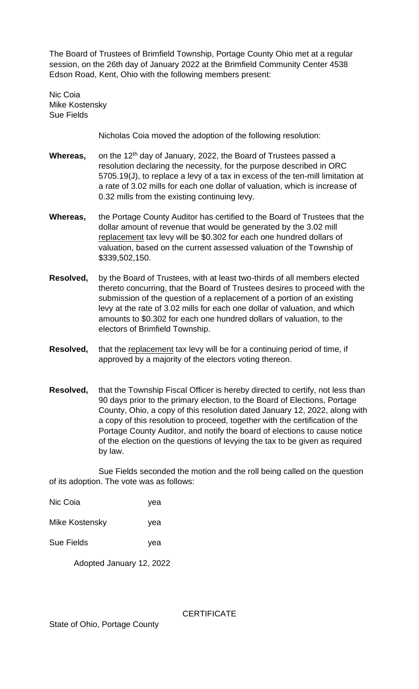The Board of Trustees of Brimfield Township, Portage County Ohio met at a regular session, on the 26th day of January 2022 at the Brimfield Community Center 4538 Edson Road, Kent, Ohio with the following members present:

Nic Coia Mike Kostensky Sue Fields

Nicholas Coia moved the adoption of the following resolution:

- Whereas, on the 12<sup>th</sup> day of January, 2022, the Board of Trustees passed a resolution declaring the necessity, for the purpose described in ORC 5705.19(J), to replace a levy of a tax in excess of the ten-mill limitation at a rate of 3.02 mills for each one dollar of valuation, which is increase of 0.32 mills from the existing continuing levy.
- **Whereas,** the Portage County Auditor has certified to the Board of Trustees that the dollar amount of revenue that would be generated by the 3.02 mill replacement tax levy will be \$0.302 for each one hundred dollars of valuation, based on the current assessed valuation of the Township of \$339,502,150.
- **Resolved,** by the Board of Trustees, with at least two-thirds of all members elected thereto concurring, that the Board of Trustees desires to proceed with the submission of the question of a replacement of a portion of an existing levy at the rate of 3.02 mills for each one dollar of valuation, and which amounts to \$0.302 for each one hundred dollars of valuation, to the electors of Brimfield Township.
- **Resolved,** that the replacement tax levy will be for a continuing period of time, if approved by a majority of the electors voting thereon.
- **Resolved,** that the Township Fiscal Officer is hereby directed to certify, not less than 90 days prior to the primary election, to the Board of Elections, Portage County, Ohio, a copy of this resolution dated January 12, 2022, along with a copy of this resolution to proceed, together with the certification of the Portage County Auditor, and notify the board of elections to cause notice of the election on the questions of levying the tax to be given as required by law.

 Sue Fields seconded the motion and the roll being called on the question of its adoption. The vote was as follows:

| Nic Coia          | yea |
|-------------------|-----|
| Mike Kostensky    | yea |
| <b>Sue Fields</b> | yea |

Adopted January 12, 2022

**CERTIFICATE**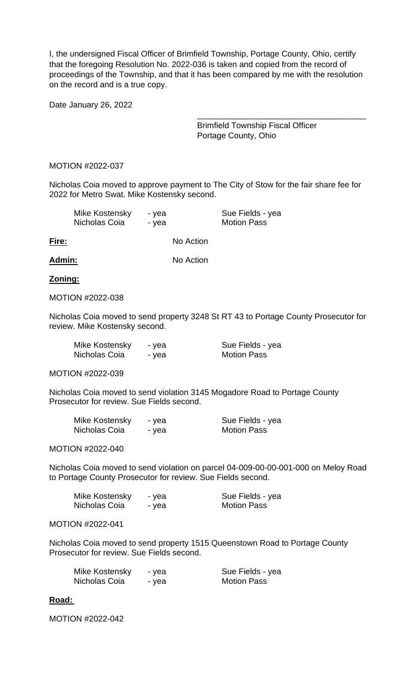I, the undersigned Fiscal Officer of Brimfield Township, Portage County, Ohio, certify that the foregoing Resolution No. 2022-036 is taken and copied from the record of proceedings of the Township, and that it has been compared by me with the resolution on the record and is a true copy.

Date January 26, 2022

Brimfield Township Fiscal Officer Portage County, Ohio

\_\_\_\_\_\_\_\_\_\_\_\_\_\_\_\_\_\_\_\_\_\_\_\_\_\_\_\_\_\_\_\_\_\_\_\_\_

# MOTION #2022-037

Nicholas Coia moved to approve payment to The City of Stow for the fair share fee for 2022 for Metro Swat. Mike Kostensky second.

| Mike Kostensky | - yea | Sue Fields - yea   |
|----------------|-------|--------------------|
| Nicholas Coia  | - vea | <b>Motion Pass</b> |
|                |       |                    |

**Fire:** No Action

**Admin:** No Action

# **Zoning:**

# MOTION #2022-038

Nicholas Coia moved to send property 3248 St RT 43 to Portage County Prosecutor for review. Mike Kostensky second.

| Mike Kostensky | - yea | Sue Fields - yea   |
|----------------|-------|--------------------|
| Nicholas Coia  | - yea | <b>Motion Pass</b> |

MOTION #2022-039

Nicholas Coia moved to send violation 3145 Mogadore Road to Portage County Prosecutor for review. Sue Fields second.

| Mike Kostensky | - yea | Sue Fields - yea   |
|----------------|-------|--------------------|
| Nicholas Coia  | - yea | <b>Motion Pass</b> |

MOTION #2022-040

Nicholas Coia moved to send violation on parcel 04-009-00-00-001-000 on Meloy Road to Portage County Prosecutor for review. Sue Fields second.

| Mike Kostensky | - vea | Sue Fields - yea   |
|----------------|-------|--------------------|
| Nicholas Coia  | - yea | <b>Motion Pass</b> |

# MOTION #2022-041

Nicholas Coia moved to send property 1515 Queenstown Road to Portage County Prosecutor for review. Sue Fields second.

| Mike Kostensky | - yea | Sue Fields - yea   |
|----------------|-------|--------------------|
| Nicholas Coia  | - yea | <b>Motion Pass</b> |

# **Road:**

MOTION #2022-042